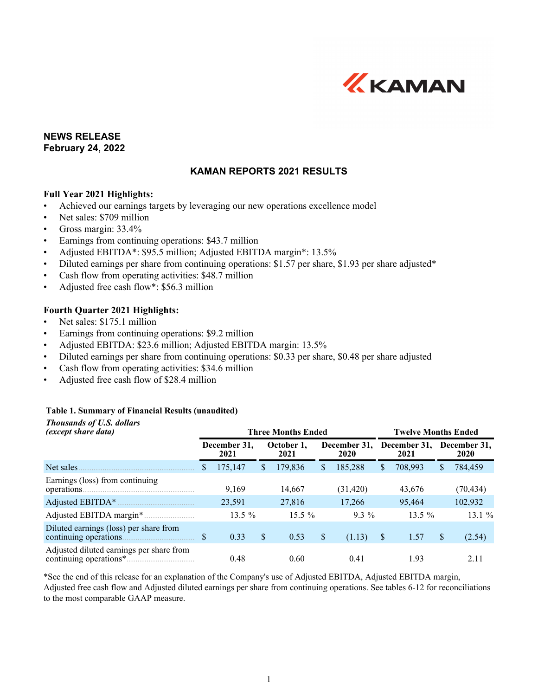

## **NEWS RELEASE February 24, 2022**

## **KAMAN REPORTS 2021 RESULTS**

#### **Full Year 2021 Highlights:**

- Achieved our earnings targets by leveraging our new operations excellence model
- Net sales: \$709 million
- Gross margin: 33.4%
- Earnings from continuing operations: \$43.7 million
- Adjusted EBITDA\*: \$95.5 million; Adjusted EBITDA margin\*: 13.5%
- Diluted earnings per share from continuing operations: \$1.57 per share, \$1.93 per share adjusted\*
- Cash flow from operating activities: \$48.7 million
- Adjusted free cash flow\*: \$56.3 million

#### **Fourth Quarter 2021 Highlights:**

- Net sales: \$175.1 million
- Earnings from continuing operations: \$9.2 million
- Adjusted EBITDA: \$23.6 million; Adjusted EBITDA margin: 13.5%
- Diluted earnings per share from continuing operations: \$0.33 per share, \$0.48 per share adjusted
- Cash flow from operating activities: \$34.6 million
- Adjusted free cash flow of \$28.4 million

#### **Table 1. Summary of Financial Results (unaudited)**

| <b>Thousands of U.S. dollars</b><br>(except share data) |    |                      | <b>Three Months Ended</b> |    | <b>Twelve Months Ended</b> |    |                      |                      |           |
|---------------------------------------------------------|----|----------------------|---------------------------|----|----------------------------|----|----------------------|----------------------|-----------|
|                                                         |    | December 31,<br>2021 | October 1.<br>2021        |    | December 31,<br>2020       |    | December 31,<br>2021 | December 31,<br>2020 |           |
| Net sales                                               | S  | 175,147              | \$<br>179,836             | S  | 185,288                    | \$ | 708,993              | S.                   | 784,459   |
| Earnings (loss) from continuing                         |    | 9.169                | 14,667                    |    | (31, 420)                  |    | 43,676               |                      | (70, 434) |
|                                                         |    | 23,591               | 27,816                    |    | 17,266                     |    | 95.464               |                      | 102,932   |
|                                                         |    | 13.5 %               | $15.5\%$                  |    | $9.3\%$                    |    | 13.5 $%$             |                      | 13.1%     |
| Diluted earnings (loss) per share from                  | \$ | 0.33                 | \$<br>0.53                | \$ | (1.13)                     | -S | 1.57                 | $\mathbb{S}$         | (2.54)    |
| Adjusted diluted earnings per share from                |    | 0.48                 | 0.60                      |    | 0.41                       |    | 1.93                 |                      | 2.11      |

\*See the end of this release for an explanation of the Company's use of Adjusted EBITDA, Adjusted EBITDA margin, Adjusted free cash flow and Adjusted diluted earnings per share from continuing operations. See tables 6-12 for reconciliations to the most comparable GAAP measure.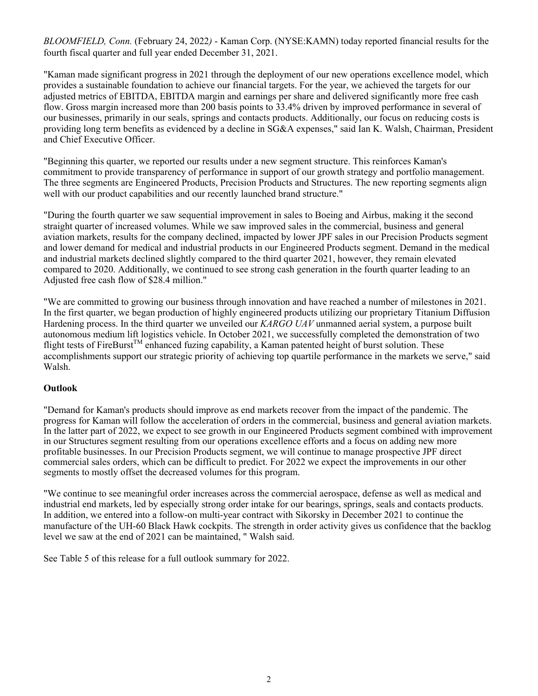*BLOOMFIELD, Conn.* (February 24, 2022*)* - Kaman Corp. (NYSE:KAMN) today reported financial results for the fourth fiscal quarter and full year ended December 31, 2021.

"Kaman made significant progress in 2021 through the deployment of our new operations excellence model, which provides a sustainable foundation to achieve our financial targets. For the year, we achieved the targets for our adjusted metrics of EBITDA, EBITDA margin and earnings per share and delivered significantly more free cash flow. Gross margin increased more than 200 basis points to 33.4% driven by improved performance in several of our businesses, primarily in our seals, springs and contacts products. Additionally, our focus on reducing costs is providing long term benefits as evidenced by a decline in SG&A expenses," said Ian K. Walsh, Chairman, President and Chief Executive Officer.

"Beginning this quarter, we reported our results under a new segment structure. This reinforces Kaman's commitment to provide transparency of performance in support of our growth strategy and portfolio management. The three segments are Engineered Products, Precision Products and Structures. The new reporting segments align well with our product capabilities and our recently launched brand structure."

"During the fourth quarter we saw sequential improvement in sales to Boeing and Airbus, making it the second straight quarter of increased volumes. While we saw improved sales in the commercial, business and general aviation markets, results for the company declined, impacted by lower JPF sales in our Precision Products segment and lower demand for medical and industrial products in our Engineered Products segment. Demand in the medical and industrial markets declined slightly compared to the third quarter 2021, however, they remain elevated compared to 2020. Additionally, we continued to see strong cash generation in the fourth quarter leading to an Adjusted free cash flow of \$28.4 million."

"We are committed to growing our business through innovation and have reached a number of milestones in 2021. In the first quarter, we began production of highly engineered products utilizing our proprietary Titanium Diffusion Hardening process. In the third quarter we unveiled our *KARGO UAV* unmanned aerial system, a purpose built autonomous medium lift logistics vehicle. In October 2021, we successfully completed the demonstration of two flight tests of FireBurst<sup>TM</sup> enhanced fuzing capability, a Kaman patented height of burst solution. These accomplishments support our strategic priority of achieving top quartile performance in the markets we serve," said Walsh.

#### **Outlook**

"Demand for Kaman's products should improve as end markets recover from the impact of the pandemic. The progress for Kaman will follow the acceleration of orders in the commercial, business and general aviation markets. In the latter part of 2022, we expect to see growth in our Engineered Products segment combined with improvement in our Structures segment resulting from our operations excellence efforts and a focus on adding new more profitable businesses. In our Precision Products segment, we will continue to manage prospective JPF direct commercial sales orders, which can be difficult to predict. For 2022 we expect the improvements in our other segments to mostly offset the decreased volumes for this program.

"We continue to see meaningful order increases across the commercial aerospace, defense as well as medical and industrial end markets, led by especially strong order intake for our bearings, springs, seals and contacts products. In addition, we entered into a follow-on multi-year contract with Sikorsky in December 2021 to continue the manufacture of the UH-60 Black Hawk cockpits. The strength in order activity gives us confidence that the backlog level we saw at the end of 2021 can be maintained, " Walsh said.

See Table 5 of this release for a full outlook summary for 2022.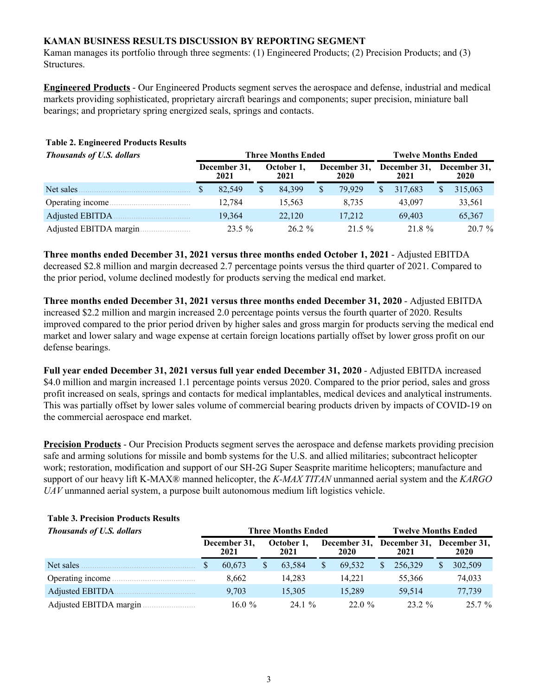## **KAMAN BUSINESS RESULTS DISCUSSION BY REPORTING SEGMENT**

Kaman manages its portfolio through three segments: (1) Engineered Products; (2) Precision Products; and (3) Structures.

**Engineered Products** - Our Engineered Products segment serves the aerospace and defense, industrial and medical markets providing sophisticated, proprietary aircraft bearings and components; super precision, miniature ball bearings; and proprietary spring energized seals, springs and contacts.

| <b>Thousands of U.S. dollars</b> |                      |    | <b>Three Months Ended</b> | <b>Twelve Months Ended</b> |                      |              |                      |                      |          |  |
|----------------------------------|----------------------|----|---------------------------|----------------------------|----------------------|--------------|----------------------|----------------------|----------|--|
|                                  | December 31,<br>2021 |    | October 1.<br>2021        |                            | December 31,<br>2020 |              | December 31,<br>2021 | December 31,<br>2020 |          |  |
| Net sales                        | 82.549               | \$ | 84.399                    | \$                         | 79.929               | <sup>S</sup> | 317.683              |                      | 315,063  |  |
| Operating income.                | 12.784               |    | 15.563                    |                            | 8.735                |              | 43.097               |                      | 33,561   |  |
| Adjusted EBITDA                  | 19.364               |    | 22.120                    |                            | 17.212               |              | 69.403               |                      | 65,367   |  |
| Adjusted EBITDA margin.          | $23.5 \%$            |    | $26.2 \%$                 |                            | $21.5 \%$            |              | 21.8 %               |                      | $20.7\%$ |  |

#### **Table 2. Engineered Products Results**

**Three months ended December 31, 2021 versus three months ended October 1, 2021** - Adjusted EBITDA decreased \$2.8 million and margin decreased 2.7 percentage points versus the third quarter of 2021. Compared to the prior period, volume declined modestly for products serving the medical end market.

**Three months ended December 31, 2021 versus three months ended December 31, 2020** - Adjusted EBITDA increased \$2.2 million and margin increased 2.0 percentage points versus the fourth quarter of 2020. Results improved compared to the prior period driven by higher sales and gross margin for products serving the medical end market and lower salary and wage expense at certain foreign locations partially offset by lower gross profit on our defense bearings.

**Full year ended December 31, 2021 versus full year ended December 31, 2020** - Adjusted EBITDA increased \$4.0 million and margin increased 1.1 percentage points versus 2020. Compared to the prior period, sales and gross profit increased on seals, springs and contacts for medical implantables, medical devices and analytical instruments. This was partially offset by lower sales volume of commercial bearing products driven by impacts of COVID-19 on the commercial aerospace end market.

**Precision Products** - Our Precision Products segment serves the aerospace and defense markets providing precision safe and arming solutions for missile and bomb systems for the U.S. and allied militaries; subcontract helicopter work; restoration, modification and support of our SH-2G Super Seasprite maritime helicopters; manufacture and support of our heavy lift K-MAX® manned helicopter, the *K-MAX TITAN* unmanned aerial system and the *KARGO UAV* unmanned aerial system, a purpose built autonomous medium lift logistics vehicle.

| <b>Thousands of U.S. dollars</b> |                      |  | <b>Three Months Ended</b> |   | <b>Twelve Months Ended</b> |    |                      |                      |          |
|----------------------------------|----------------------|--|---------------------------|---|----------------------------|----|----------------------|----------------------|----------|
|                                  | December 31,<br>2021 |  | October 1.<br>2021        |   | December 31,<br>2020       |    | December 31,<br>2021 | December 31.<br>2020 |          |
| Net sales                        | 60.673               |  | 63.584                    | S | 69.532                     | \$ | 256,329              |                      | 302,509  |
| Operating income                 | 8,662                |  | 14.283                    |   | 14.221                     |    | 55,366               |                      | 74,033   |
| Adjusted EBITDA                  | 9.703                |  | 15.305                    |   | 15.289                     |    | 59.514               |                      | 77.739   |
| Adjusted EBITDA margin.          | 16.0 $%$             |  | 24.1%                     |   | 22.0%                      |    | $23.2 \%$            |                      | $25.7\%$ |

## **Table 3. Precision Products Results**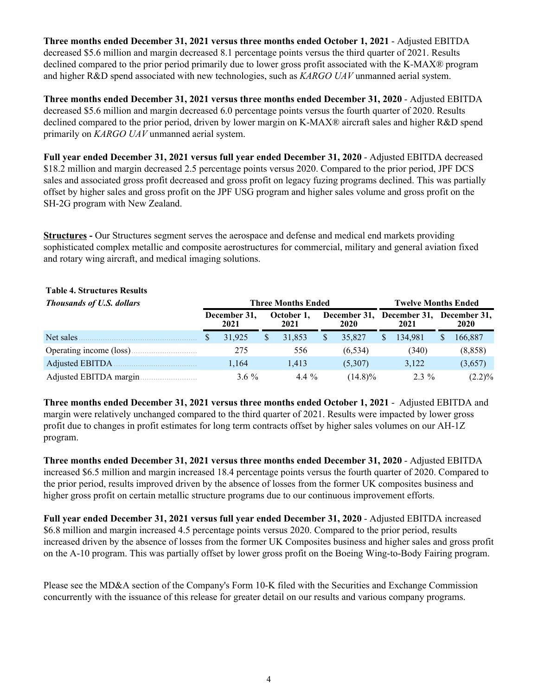**Three months ended December 31, 2021 versus three months ended October 1, 2021** - Adjusted EBITDA decreased \$5.6 million and margin decreased 8.1 percentage points versus the third quarter of 2021. Results declined compared to the prior period primarily due to lower gross profit associated with the K-MAX® program and higher R&D spend associated with new technologies, such as *KARGO UAV* unmanned aerial system.

**Three months ended December 31, 2021 versus three months ended December 31, 2020** - Adjusted EBITDA decreased \$5.6 million and margin decreased 6.0 percentage points versus the fourth quarter of 2020. Results declined compared to the prior period, driven by lower margin on K-MAX® aircraft sales and higher R&D spend primarily on *KARGO UAV* unmanned aerial system.

**Full year ended December 31, 2021 versus full year ended December 31, 2020** - Adjusted EBITDA decreased \$18.2 million and margin decreased 2.5 percentage points versus 2020. Compared to the prior period, JPF DCS sales and associated gross profit decreased and gross profit on legacy fuzing programs declined. This was partially offset by higher sales and gross profit on the JPF USG program and higher sales volume and gross profit on the SH-2G program with New Zealand.

**Structures -** Our Structures segment serves the aerospace and defense and medical end markets providing sophisticated complex metallic and composite aerostructures for commercial, military and general aviation fixed and rotary wing aircraft, and medical imaging solutions.

#### **Table 4. Structures Results**

| <b>Thousands of U.S. dollars</b> |                      |  | <b>Three Months Ended</b> | <b>Twelve Months Ended</b> |                      |   |                                   |    |           |  |
|----------------------------------|----------------------|--|---------------------------|----------------------------|----------------------|---|-----------------------------------|----|-----------|--|
|                                  | December 31,<br>2021 |  | October 1.<br>2021        |                            | December 31,<br>2020 |   | December 31, December 31,<br>2021 |    | 2020      |  |
| Net sales                        | 31.925               |  | 31.853                    |                            | 35,827               | S | 134.981                           | S. | 166,887   |  |
|                                  | 275                  |  | 556                       |                            | (6, 534)             |   | (340)                             |    | (8, 858)  |  |
| Adjusted EBITDA                  | 1.164                |  | 1.413                     | (5,307)                    |                      |   | 3.122                             |    | (3,657)   |  |
| Adjusted EBITDA margin.          | $36\%$               |  | 4.4 $\%$                  |                            | $(14.8)\%$           |   | $2.3\%$                           |    | $(2.2)\%$ |  |

**Three months ended December 31, 2021 versus three months ended October 1, 2021** - Adjusted EBITDA and margin were relatively unchanged compared to the third quarter of 2021. Results were impacted by lower gross profit due to changes in profit estimates for long term contracts offset by higher sales volumes on our AH-1Z program.

**Three months ended December 31, 2021 versus three months ended December 31, 2020** - Adjusted EBITDA increased \$6.5 million and margin increased 18.4 percentage points versus the fourth quarter of 2020. Compared to the prior period, results improved driven by the absence of losses from the former UK composites business and higher gross profit on certain metallic structure programs due to our continuous improvement efforts.

**Full year ended December 31, 2021 versus full year ended December 31, 2020** - Adjusted EBITDA increased \$6.8 million and margin increased 4.5 percentage points versus 2020. Compared to the prior period, results increased driven by the absence of losses from the former UK Composites business and higher sales and gross profit on the A-10 program. This was partially offset by lower gross profit on the Boeing Wing-to-Body Fairing program.

Please see the MD&A section of the Company's Form 10-K filed with the Securities and Exchange Commission concurrently with the issuance of this release for greater detail on our results and various company programs.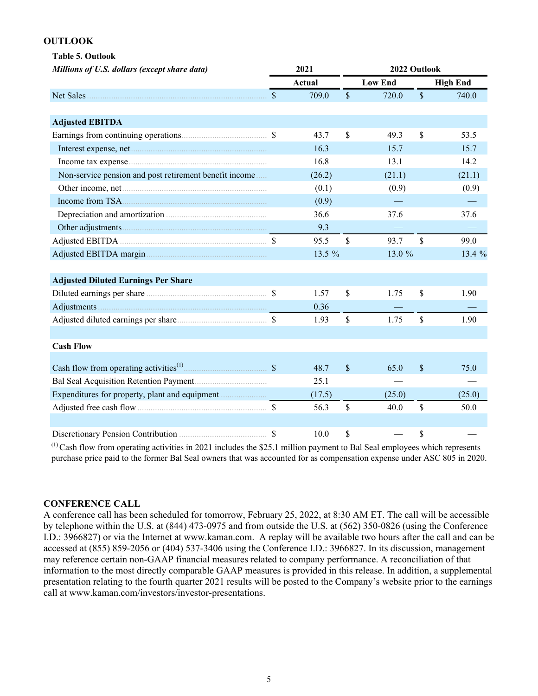#### **OUTLOOK**

|           | <b>Table 5. Outlook</b>                      |
|-----------|----------------------------------------------|
|           | Millions of U.S. dollars (except share data) |
|           |                                              |
| Net Sales |                                              |

| Net Sales                                                 | $\mathbb{S}$  | 709.0  | \$            | 720.0  | \$            | 740.0  |
|-----------------------------------------------------------|---------------|--------|---------------|--------|---------------|--------|
|                                                           |               |        |               |        |               |        |
| <b>Adjusted EBITDA</b>                                    |               |        |               |        |               |        |
|                                                           |               | 43.7   | \$            | 49.3   | \$            | 53.5   |
|                                                           |               | 16.3   |               | 15.7   |               | 15.7   |
|                                                           |               | 16.8   |               | 13.1   |               | 14.2   |
| Non-service pension and post retirement benefit income    |               | (26.2) |               | (21.1) |               | (21.1) |
|                                                           |               | (0.1)  |               | (0.9)  |               | (0.9)  |
|                                                           |               | (0.9)  |               |        |               |        |
|                                                           |               | 36.6   |               | 37.6   |               | 37.6   |
|                                                           |               | 9.3    |               |        |               |        |
|                                                           |               | 95.5   | $\mathcal{S}$ | 93.7   | $\mathsf{\$}$ | 99.0   |
|                                                           |               | 13.5 % |               | 13.0 % |               | 13.4 % |
|                                                           |               |        |               |        |               |        |
| <b>Adjusted Diluted Earnings Per Share</b>                |               |        |               |        |               |        |
|                                                           |               | 1.57   | \$            | 1.75   | \$            | 1.90   |
|                                                           |               | 0.36   |               |        |               |        |
|                                                           |               | 1.93   | $\mathcal{S}$ | 1.75   | $\mathbf S$   | 1.90   |
|                                                           |               |        |               |        |               |        |
| <b>Cash Flow</b>                                          |               |        |               |        |               |        |
|                                                           |               |        |               |        |               |        |
| Cash flow from operating activities <sup>(1)</sup> $\sim$ |               | 48.7   | <sup>\$</sup> | 65.0   | \$            | 75.0   |
| Bal Seal Acquisition Retention Payment                    |               | 25.1   |               |        |               |        |
|                                                           |               | (17.5) |               | (25.0) |               | (25.0) |
|                                                           |               | 56.3   | $\mathcal{S}$ | 40.0   | \$            | 50.0   |
|                                                           |               |        |               |        |               |        |
|                                                           | <sup>\$</sup> | 10.0   | \$            |        | \$            |        |

*Millions of U.S. dollars (except share data)* **2021 2022 Outlook**

**Actual Low End High End**

 $<sup>(1)</sup>$  Cash flow from operating activities in 2021 includes the \$25.1 million payment to Bal Seal employees which represents</sup> purchase price paid to the former Bal Seal owners that was accounted for as compensation expense under ASC 805 in 2020.

#### **CONFERENCE CALL**

A conference call has been scheduled for tomorrow, February 25, 2022, at 8:30 AM ET. The call will be accessible by telephone within the U.S. at (844) 473-0975 and from outside the U.S. at (562) 350-0826 (using the Conference I.D.: 3966827) or via the Internet at www.kaman.com. A replay will be available two hours after the call and can be accessed at (855) 859-2056 or (404) 537-3406 using the Conference I.D.: 3966827. In its discussion, management may reference certain non-GAAP financial measures related to company performance. A reconciliation of that information to the most directly comparable GAAP measures is provided in this release. In addition, a supplemental presentation relating to the fourth quarter 2021 results will be posted to the Company's website prior to the earnings call at www.kaman.com/investors/investor-presentations.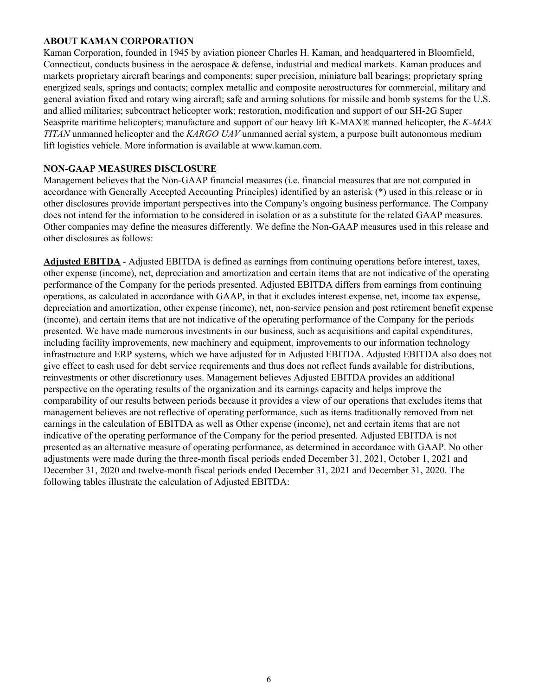## **ABOUT KAMAN CORPORATION**

Kaman Corporation, founded in 1945 by aviation pioneer Charles H. Kaman, and headquartered in Bloomfield, Connecticut, conducts business in the aerospace & defense, industrial and medical markets. Kaman produces and markets proprietary aircraft bearings and components; super precision, miniature ball bearings; proprietary spring energized seals, springs and contacts; complex metallic and composite aerostructures for commercial, military and general aviation fixed and rotary wing aircraft; safe and arming solutions for missile and bomb systems for the U.S. and allied militaries; subcontract helicopter work; restoration, modification and support of our SH-2G Super Seasprite maritime helicopters; manufacture and support of our heavy lift K-MAX® manned helicopter, the *K-MAX TITAN* unmanned helicopter and the *KARGO UAV* unmanned aerial system, a purpose built autonomous medium lift logistics vehicle. More information is available at www.kaman.com.

#### **NON-GAAP MEASURES DISCLOSURE**

Management believes that the Non-GAAP financial measures (i.e. financial measures that are not computed in accordance with Generally Accepted Accounting Principles) identified by an asterisk (\*) used in this release or in other disclosures provide important perspectives into the Company's ongoing business performance. The Company does not intend for the information to be considered in isolation or as a substitute for the related GAAP measures. Other companies may define the measures differently. We define the Non-GAAP measures used in this release and other disclosures as follows:

**Adjusted EBITDA** - Adjusted EBITDA is defined as earnings from continuing operations before interest, taxes, other expense (income), net, depreciation and amortization and certain items that are not indicative of the operating performance of the Company for the periods presented. Adjusted EBITDA differs from earnings from continuing operations, as calculated in accordance with GAAP, in that it excludes interest expense, net, income tax expense, depreciation and amortization, other expense (income), net, non-service pension and post retirement benefit expense (income), and certain items that are not indicative of the operating performance of the Company for the periods presented. We have made numerous investments in our business, such as acquisitions and capital expenditures, including facility improvements, new machinery and equipment, improvements to our information technology infrastructure and ERP systems, which we have adjusted for in Adjusted EBITDA. Adjusted EBITDA also does not give effect to cash used for debt service requirements and thus does not reflect funds available for distributions, reinvestments or other discretionary uses. Management believes Adjusted EBITDA provides an additional perspective on the operating results of the organization and its earnings capacity and helps improve the comparability of our results between periods because it provides a view of our operations that excludes items that management believes are not reflective of operating performance, such as items traditionally removed from net earnings in the calculation of EBITDA as well as Other expense (income), net and certain items that are not indicative of the operating performance of the Company for the period presented. Adjusted EBITDA is not presented as an alternative measure of operating performance, as determined in accordance with GAAP. No other adjustments were made during the three-month fiscal periods ended December 31, 2021, October 1, 2021 and December 31, 2020 and twelve-month fiscal periods ended December 31, 2021 and December 31, 2020. The following tables illustrate the calculation of Adjusted EBITDA: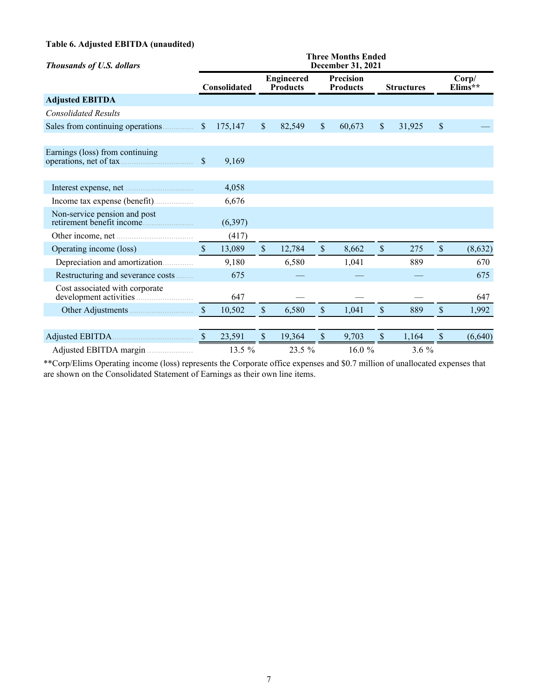## **Table 6. Adjusted EBITDA (unaudited)**

| <b>Thousands of U.S. dollars</b>                          | <b>Three Months Ended</b><br>December 31, 2021 |              |               |                                      |               |                              |                           |                   |    |                   |  |  |  |  |
|-----------------------------------------------------------|------------------------------------------------|--------------|---------------|--------------------------------------|---------------|------------------------------|---------------------------|-------------------|----|-------------------|--|--|--|--|
|                                                           |                                                | Consolidated |               | <b>Engineered</b><br><b>Products</b> |               | Precision<br><b>Products</b> |                           | <b>Structures</b> |    | Corp/<br>$Elims*$ |  |  |  |  |
| <b>Adjusted EBITDA</b>                                    |                                                |              |               |                                      |               |                              |                           |                   |    |                   |  |  |  |  |
| <b>Consolidated Results</b>                               |                                                |              |               |                                      |               |                              |                           |                   |    |                   |  |  |  |  |
| Sales from continuing operations                          | $\sqrt{\ }$                                    | 175,147      | $\mathbb S$   | 82,549                               | $\mathsf{\$}$ | 60,673                       | $\mathsf{\$}$             | 31,925            | \$ |                   |  |  |  |  |
| Earnings (loss) from continuing<br>operations, net of tax | \$                                             | 9,169        |               |                                      |               |                              |                           |                   |    |                   |  |  |  |  |
|                                                           |                                                | 4,058        |               |                                      |               |                              |                           |                   |    |                   |  |  |  |  |
|                                                           |                                                | 6,676        |               |                                      |               |                              |                           |                   |    |                   |  |  |  |  |
| Non-service pension and post                              |                                                | (6,397)      |               |                                      |               |                              |                           |                   |    |                   |  |  |  |  |
|                                                           |                                                | (417)        |               |                                      |               |                              |                           |                   |    |                   |  |  |  |  |
| Operating income (loss)                                   | $\mathcal{S}$                                  | 13,089       | $\mathcal{S}$ | 12,784                               | $\mathbb{S}$  | 8,662                        | $\mathbb{S}$              | 275               | \$ | (8,632)           |  |  |  |  |
| Depreciation and amortization                             |                                                | 9,180        |               | 6,580                                |               | 1,041                        |                           | 889               |    | 670               |  |  |  |  |
| Restructuring and severance costs                         |                                                | 675          |               |                                      |               |                              |                           |                   |    | 675               |  |  |  |  |
| Cost associated with corporate                            |                                                | 647          |               |                                      |               |                              |                           |                   |    | 647               |  |  |  |  |
|                                                           | $\mathcal{S}$                                  | 10,502       | $\$$          | 6,580                                | \$            | 1,041                        | \$                        | 889               | \$ | 1,992             |  |  |  |  |
|                                                           | <sup>S</sup>                                   | 23,591       | $\mathcal{S}$ | 19,364                               | $\mathsf{\$}$ | 9,703                        | $\boldsymbol{\mathsf{S}}$ | 1,164             | \$ | (6,640)           |  |  |  |  |
|                                                           |                                                | 13.5 %       |               | $23.5\%$                             |               | 16.0 $%$                     |                           | $3.6\%$           |    |                   |  |  |  |  |

\*\*Corp/Elims Operating income (loss) represents the Corporate office expenses and \$0.7 million of unallocated expenses that are shown on the Consolidated Statement of Earnings as their own line items.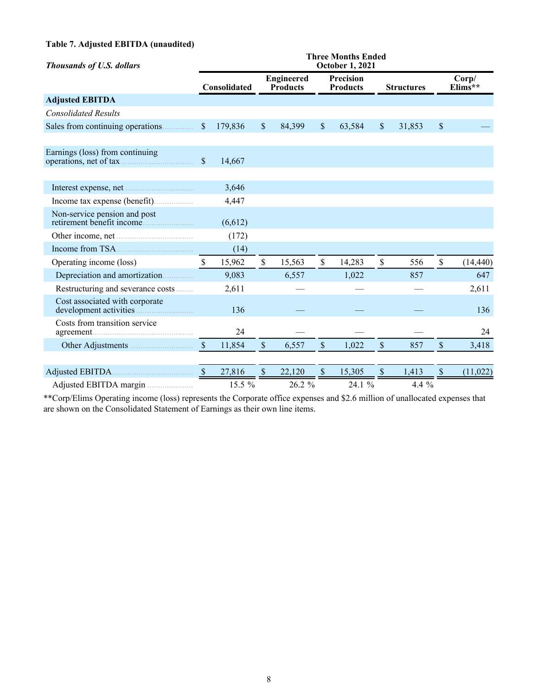## **Table 7. Adjusted EBITDA (unaudited)**

| <b>Thousands of U.S. dollars</b>                          | <b>Three Months Ended</b><br><b>October 1, 2021</b> |                     |               |                                      |               |                              |                           |                   |              |                    |  |  |  |
|-----------------------------------------------------------|-----------------------------------------------------|---------------------|---------------|--------------------------------------|---------------|------------------------------|---------------------------|-------------------|--------------|--------------------|--|--|--|
|                                                           |                                                     | <b>Consolidated</b> |               | <b>Engineered</b><br><b>Products</b> |               | Precision<br><b>Products</b> |                           | <b>Structures</b> |              | Corp/<br>$Elims**$ |  |  |  |
| <b>Adjusted EBITDA</b>                                    |                                                     |                     |               |                                      |               |                              |                           |                   |              |                    |  |  |  |
| <b>Consolidated Results</b>                               |                                                     |                     |               |                                      |               |                              |                           |                   |              |                    |  |  |  |
|                                                           | $\sqrt{\ }$                                         | 179,836             | $\mathcal{S}$ | 84,399                               | $\mathsf{\$}$ | 63,584                       | $\mathcal{S}$             | 31,853            | \$           |                    |  |  |  |
|                                                           |                                                     |                     |               |                                      |               |                              |                           |                   |              |                    |  |  |  |
| Earnings (loss) from continuing                           | $\mathsf{\$}$                                       | 14,667              |               |                                      |               |                              |                           |                   |              |                    |  |  |  |
|                                                           |                                                     |                     |               |                                      |               |                              |                           |                   |              |                    |  |  |  |
|                                                           |                                                     | 3,646               |               |                                      |               |                              |                           |                   |              |                    |  |  |  |
|                                                           |                                                     | 4,447               |               |                                      |               |                              |                           |                   |              |                    |  |  |  |
| Non-service pension and post<br>retirement benefit income |                                                     | (6,612)             |               |                                      |               |                              |                           |                   |              |                    |  |  |  |
| Other income, net                                         |                                                     | (172)               |               |                                      |               |                              |                           |                   |              |                    |  |  |  |
|                                                           |                                                     | (14)                |               |                                      |               |                              |                           |                   |              |                    |  |  |  |
| Operating income (loss)                                   | $\mathbb{S}$                                        | 15,962              | $\mathsf{\$}$ | 15,563                               | \$            | 14,283                       | $\mathsf{\$}$             | 556               | \$           | (14, 440)          |  |  |  |
| Depreciation and amortization                             |                                                     | 9,083               |               | 6,557                                |               | 1,022                        |                           | 857               |              | 647                |  |  |  |
| Restructuring and severance costs                         |                                                     | 2,611               |               |                                      |               |                              |                           |                   |              | 2,611              |  |  |  |
| Cost associated with corporate                            |                                                     | 136                 |               |                                      |               |                              |                           |                   |              | 136                |  |  |  |
| Costs from transition service                             |                                                     | 24                  |               |                                      |               |                              |                           |                   |              | 24                 |  |  |  |
|                                                           | $\mathcal{S}$                                       | 11,854              | $\mathcal{S}$ | 6,557                                | \$            | 1,022                        | $\boldsymbol{\mathsf{S}}$ | 857               | \$           | 3,418              |  |  |  |
|                                                           |                                                     |                     |               |                                      |               |                              |                           |                   |              |                    |  |  |  |
|                                                           | $\mathbb{S}$                                        | 27,816              | $\mathbb{S}$  | 22,120                               | $\$$          | 15,305                       | $\mathbb S$               | 1,413             | $\mathbb{S}$ | (11, 022)          |  |  |  |
| Adjusted EBITDA margin                                    |                                                     | 15.5 %              |               | 26.2 %                               |               | 24.1 %                       |                           | 4.4 %             |              |                    |  |  |  |

\*\*Corp/Elims Operating income (loss) represents the Corporate office expenses and \$2.6 million of unallocated expenses that are shown on the Consolidated Statement of Earnings as their own line items.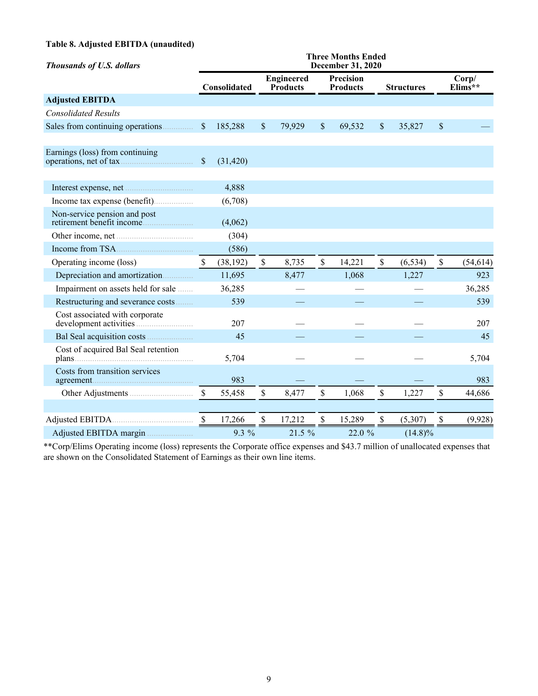## **Table 8. Adjusted EBITDA (unaudited)**

| <b>Thousands of U.S. dollars</b>                          | <b>Three Months Ended</b><br><b>December 31, 2020</b> |                     |               |                                      |                           |                              |                           |                   |    |                              |  |  |
|-----------------------------------------------------------|-------------------------------------------------------|---------------------|---------------|--------------------------------------|---------------------------|------------------------------|---------------------------|-------------------|----|------------------------------|--|--|
|                                                           |                                                       | <b>Consolidated</b> |               | <b>Engineered</b><br><b>Products</b> |                           | Precision<br><b>Products</b> |                           | <b>Structures</b> |    | Corp/<br>Elims <sup>**</sup> |  |  |
| <b>Adjusted EBITDA</b>                                    |                                                       |                     |               |                                      |                           |                              |                           |                   |    |                              |  |  |
| <b>Consolidated Results</b>                               |                                                       |                     |               |                                      |                           |                              |                           |                   |    |                              |  |  |
| Sales from continuing operations                          | $\sqrt{\ }$                                           | 185,288             | $\mathbb S$   | 79,929                               | $\boldsymbol{\mathsf{S}}$ | 69,532                       | $\boldsymbol{\mathsf{S}}$ | 35,827            | \$ |                              |  |  |
| Earnings (loss) from continuing<br>operations, net of tax | $\boldsymbol{\$}$                                     | (31, 420)           |               |                                      |                           |                              |                           |                   |    |                              |  |  |
|                                                           |                                                       | 4,888               |               |                                      |                           |                              |                           |                   |    |                              |  |  |
|                                                           |                                                       | (6,708)             |               |                                      |                           |                              |                           |                   |    |                              |  |  |
| Non-service pension and post<br>retirement benefit income |                                                       | (4,062)             |               |                                      |                           |                              |                           |                   |    |                              |  |  |
|                                                           |                                                       | (304)               |               |                                      |                           |                              |                           |                   |    |                              |  |  |
|                                                           |                                                       | (586)               |               |                                      |                           |                              |                           |                   |    |                              |  |  |
| Operating income (loss)                                   | \$                                                    | (38, 192)           | $\mathsf{\$}$ | 8,735                                | \$                        | 14,221                       | $\mathsf{\$}$             | (6, 534)          | \$ | (54, 614)                    |  |  |
| Depreciation and amortization                             |                                                       | 11,695              |               | 8,477                                |                           | 1,068                        |                           | 1,227             |    | 923                          |  |  |
| Impairment on assets held for sale                        |                                                       | 36,285              |               |                                      |                           |                              |                           |                   |    | 36,285                       |  |  |
| Restructuring and severance costs                         |                                                       | 539                 |               |                                      |                           |                              |                           |                   |    | 539                          |  |  |
| Cost associated with corporate                            |                                                       | 207                 |               |                                      |                           |                              |                           |                   |    | 207                          |  |  |
| Bal Seal acquisition costs                                |                                                       | 45                  |               |                                      |                           |                              |                           |                   |    | 45                           |  |  |
| Cost of acquired Bal Seal retention                       |                                                       | 5,704               |               |                                      |                           |                              |                           |                   |    | 5,704                        |  |  |
| Costs from transition services                            |                                                       | 983                 |               |                                      |                           |                              |                           |                   |    | 983                          |  |  |
|                                                           | $\mathbb{S}$                                          | 55,458              | \$            | 8,477                                | \$                        | 1,068                        | \$                        | 1,227             | \$ | 44,686                       |  |  |
|                                                           |                                                       |                     |               |                                      |                           |                              |                           |                   |    |                              |  |  |
|                                                           | $\mathbb{S}$                                          | 17,266              | \$            | 17,212                               | \$                        | 15,289                       | \$                        | (5,307)           | \$ | (9,928)                      |  |  |
| Adjusted EBITDA margin                                    |                                                       | 9.3 %               |               | 21.5 %                               |                           | 22.0 %                       |                           | $(14.8)\%$        |    |                              |  |  |

\*\*Corp/Elims Operating income (loss) represents the Corporate office expenses and \$43.7 million of unallocated expenses that are shown on the Consolidated Statement of Earnings as their own line items.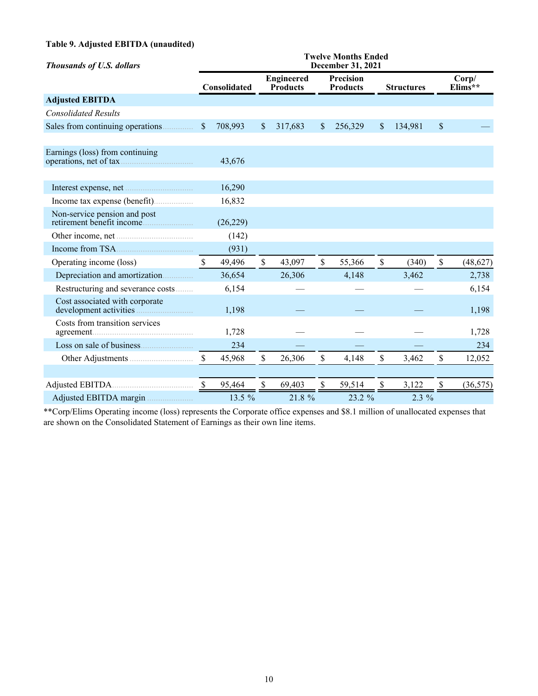## **Table 9. Adjusted EBITDA (unaudited)**

| <b>Thousands of U.S. dollars</b>                          | <b>Twelve Months Ended</b><br>December 31, 2021 |              |              |                                      |               |                              |              |                   |              |                              |  |  |
|-----------------------------------------------------------|-------------------------------------------------|--------------|--------------|--------------------------------------|---------------|------------------------------|--------------|-------------------|--------------|------------------------------|--|--|
|                                                           |                                                 | Consolidated |              | <b>Engineered</b><br><b>Products</b> |               | Precision<br><b>Products</b> |              | <b>Structures</b> |              | Corp/<br>Elims <sup>**</sup> |  |  |
| <b>Adjusted EBITDA</b>                                    |                                                 |              |              |                                      |               |                              |              |                   |              |                              |  |  |
| <b>Consolidated Results</b>                               |                                                 |              |              |                                      |               |                              |              |                   |              |                              |  |  |
| Sales from continuing operations                          | $\mathbb{S}$                                    | 708,993      | $\mathbb{S}$ | 317,683                              | $\mathbb{S}$  | 256,329                      | $\mathbb{S}$ | 134,981           | $\mathbb{S}$ |                              |  |  |
| Earnings (loss) from continuing<br>operations, net of tax |                                                 | 43,676       |              |                                      |               |                              |              |                   |              |                              |  |  |
| Interest expense, net                                     |                                                 | 16,290       |              |                                      |               |                              |              |                   |              |                              |  |  |
|                                                           |                                                 | 16,832       |              |                                      |               |                              |              |                   |              |                              |  |  |
| Non-service pension and post<br>retirement benefit income |                                                 | (26, 229)    |              |                                      |               |                              |              |                   |              |                              |  |  |
|                                                           |                                                 | (142)        |              |                                      |               |                              |              |                   |              |                              |  |  |
|                                                           |                                                 | (931)        |              |                                      |               |                              |              |                   |              |                              |  |  |
| Operating income (loss)                                   | $\mathbf S$                                     | 49,496       | \$           | 43,097                               | $\mathsf{\$}$ | 55,366                       | \$           | (340)             | \$           | (48, 627)                    |  |  |
| Depreciation and amortization                             |                                                 | 36,654       |              | 26,306                               |               | 4,148                        |              | 3,462             |              | 2,738                        |  |  |
| Restructuring and severance costs                         |                                                 | 6,154        |              |                                      |               |                              |              |                   |              | 6,154                        |  |  |
| Cost associated with corporate                            |                                                 | 1,198        |              |                                      |               |                              |              |                   |              | 1,198                        |  |  |
| Costs from transition services                            |                                                 | 1,728        |              |                                      |               |                              |              |                   |              | 1,728                        |  |  |
|                                                           |                                                 | 234          |              |                                      |               |                              |              |                   |              | 234                          |  |  |
|                                                           | $\mathbb{S}$                                    | 45,968       | \$           | 26,306                               | \$            | 4,148                        | \$           | 3,462             | \$           | 12,052                       |  |  |
|                                                           |                                                 |              |              |                                      |               |                              |              |                   |              |                              |  |  |
| Adjusted EBITDA                                           | $\mathbb{S}$                                    | 95,464       | \$           | 69,403                               | \$            | 59,514                       | \$           | 3,122             | \$           | (36, 575)                    |  |  |
| Adjusted EBITDA margin                                    |                                                 | 13.5 %       |              | 21.8 %                               |               | 23.2 %                       |              | $2.3\%$           |              |                              |  |  |

\*\*Corp/Elims Operating income (loss) represents the Corporate office expenses and \$8.1 million of unallocated expenses that are shown on the Consolidated Statement of Earnings as their own line items.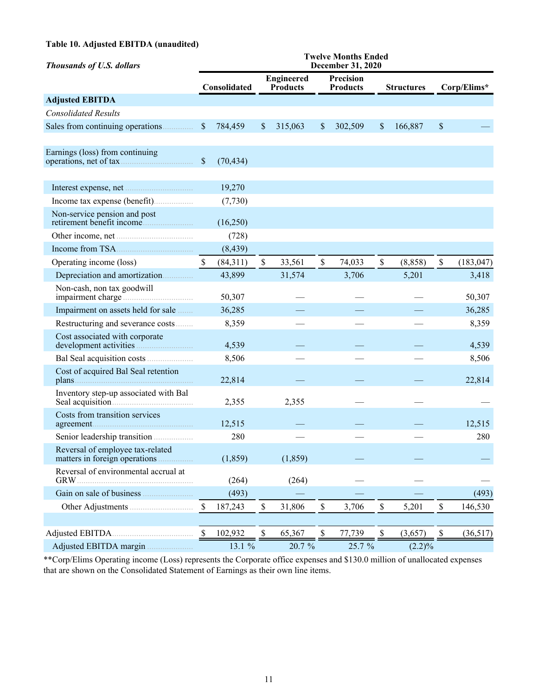## **Table 10. Adjusted EBITDA (unaudited)**

| <b>Thousands of U.S. dollars</b>                                  | <b>Twelve Months Ended</b><br>December 31, 2020 |              |               |                                      |                              |         |               |                   |              |             |  |
|-------------------------------------------------------------------|-------------------------------------------------|--------------|---------------|--------------------------------------|------------------------------|---------|---------------|-------------------|--------------|-------------|--|
|                                                                   |                                                 | Consolidated |               | <b>Engineered</b><br><b>Products</b> | Precision<br><b>Products</b> |         |               | <b>Structures</b> |              | Corp/Elims* |  |
| <b>Adjusted EBITDA</b>                                            |                                                 |              |               |                                      |                              |         |               |                   |              |             |  |
| <b>Consolidated Results</b>                                       |                                                 |              |               |                                      |                              |         |               |                   |              |             |  |
| Sales from continuing operations                                  | $\boldsymbol{\mathsf{S}}$                       | 784,459      | <sup>\$</sup> | 315,063                              | $\mathsf{\$}$                | 302,509 | \$            | 166,887           | $\$$         |             |  |
| Earnings (loss) from continuing<br>operations, net of tax         | $\mathcal{S}$                                   | (70, 434)    |               |                                      |                              |         |               |                   |              |             |  |
|                                                                   |                                                 | 19,270       |               |                                      |                              |         |               |                   |              |             |  |
|                                                                   |                                                 | (7, 730)     |               |                                      |                              |         |               |                   |              |             |  |
| Non-service pension and post<br>retirement benefit income         |                                                 | (16,250)     |               |                                      |                              |         |               |                   |              |             |  |
|                                                                   |                                                 | (728)        |               |                                      |                              |         |               |                   |              |             |  |
|                                                                   |                                                 | (8, 439)     |               |                                      |                              |         |               |                   |              |             |  |
| Operating income (loss)                                           | \$                                              | (84,311)     | $\mathbb S$   | 33,561                               | \$                           | 74,033  | $\mathsf{\$}$ | (8, 858)          | $\mathbb{S}$ | (183, 047)  |  |
| Depreciation and amortization                                     |                                                 | 43,899       |               | 31,574                               |                              | 3,706   |               | 5,201             |              | 3,418       |  |
| Non-cash, non tax goodwill<br>impairment charge                   |                                                 | 50,307       |               |                                      |                              |         |               |                   |              | 50,307      |  |
| Impairment on assets held for sale                                |                                                 | 36,285       |               |                                      |                              |         |               |                   |              | 36,285      |  |
| Restructuring and severance costs                                 |                                                 | 8,359        |               |                                      |                              |         |               |                   |              | 8,359       |  |
| Cost associated with corporate                                    |                                                 | 4,539        |               |                                      |                              |         |               |                   |              | 4,539       |  |
|                                                                   |                                                 | 8,506        |               |                                      |                              |         |               |                   |              | 8,506       |  |
| Cost of acquired Bal Seal retention<br>plans                      |                                                 | 22,814       |               |                                      |                              |         |               |                   |              | 22,814      |  |
| Inventory step-up associated with Bal                             |                                                 | 2,355        |               | 2,355                                |                              |         |               |                   |              |             |  |
| Costs from transition services                                    |                                                 | 12,515       |               |                                      |                              |         |               |                   |              | 12,515      |  |
|                                                                   |                                                 | 280          |               |                                      |                              |         |               |                   |              | 280         |  |
| Reversal of employee tax-related<br>matters in foreign operations |                                                 | (1, 859)     |               | (1, 859)                             |                              |         |               |                   |              |             |  |
| Reversal of environmental accrual at<br><b>GRW</b>                |                                                 | (264)        |               | (264)                                |                              |         |               |                   |              |             |  |
| Gain on sale of business                                          |                                                 | (493)        |               |                                      |                              |         |               |                   |              | (493)       |  |
|                                                                   | \$                                              | 187,243      | \$            | 31,806                               | \$                           | 3,706   | $\mathbb S$   | 5,201             | \$           | 146,530     |  |
|                                                                   |                                                 |              |               |                                      |                              |         |               |                   |              |             |  |
|                                                                   | \$                                              | 102,932      | \$            | 65,367                               | \$                           | 77,739  | \$            | (3,657)           | \$           | (36,517)    |  |
| Adjusted EBITDA margin                                            |                                                 | 13.1 %       |               | 20.7 %                               |                              | 25.7 %  |               | $(2.2)\%$         |              |             |  |

\*\*Corp/Elims Operating income (Loss) represents the Corporate office expenses and \$130.0 million of unallocated expenses that are shown on the Consolidated Statement of Earnings as their own line items.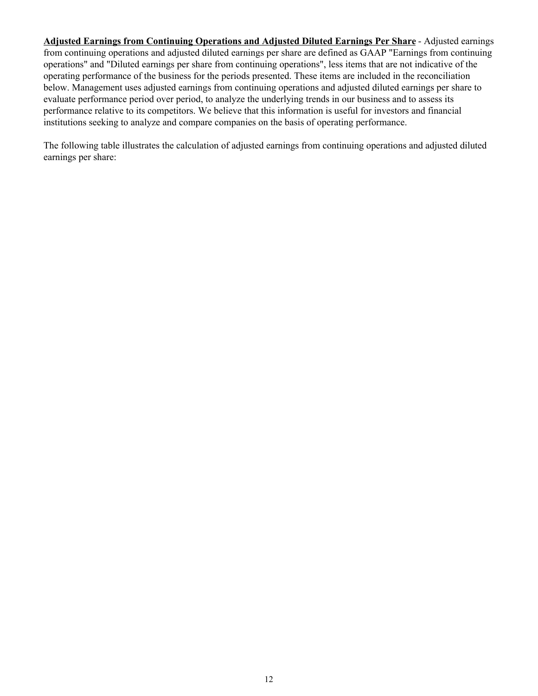**Adjusted Earnings from Continuing Operations and Adjusted Diluted Earnings Per Share** - Adjusted earnings from continuing operations and adjusted diluted earnings per share are defined as GAAP "Earnings from continuing operations" and "Diluted earnings per share from continuing operations", less items that are not indicative of the operating performance of the business for the periods presented. These items are included in the reconciliation below. Management uses adjusted earnings from continuing operations and adjusted diluted earnings per share to evaluate performance period over period, to analyze the underlying trends in our business and to assess its performance relative to its competitors. We believe that this information is useful for investors and financial institutions seeking to analyze and compare companies on the basis of operating performance.

The following table illustrates the calculation of adjusted earnings from continuing operations and adjusted diluted earnings per share: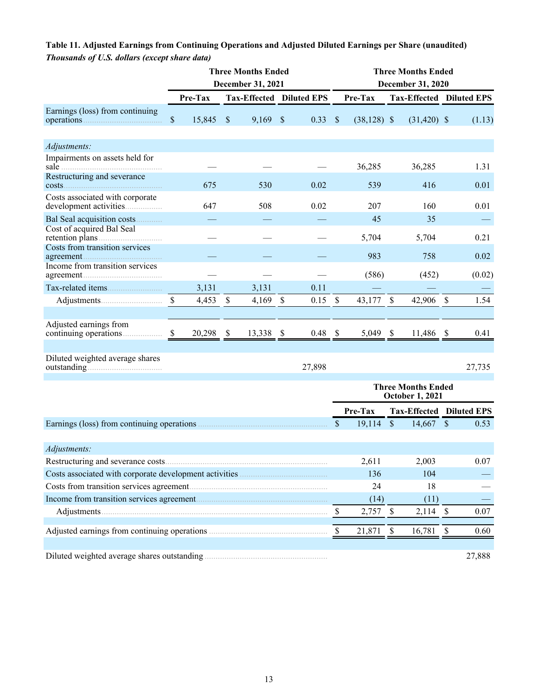|                                                         |              |         |                           | <b>Three Months Ended</b> |                           |           | <b>Three Months Ended</b> |               |                           |                                                     |                           |          |  |
|---------------------------------------------------------|--------------|---------|---------------------------|---------------------------|---------------------------|-----------|---------------------------|---------------|---------------------------|-----------------------------------------------------|---------------------------|----------|--|
|                                                         |              |         |                           | December 31, 2021         |                           |           |                           |               |                           | December 31, 2020                                   |                           |          |  |
|                                                         |              | Pre-Tax |                           | Tax-Effected Diluted EPS  |                           |           |                           | Pre-Tax       |                           | <b>Tax-Effected Diluted EPS</b>                     |                           |          |  |
| Earnings (loss) from continuing                         | $\$$         | 15,845  | $\boldsymbol{\mathsf{S}}$ | 9,169                     | $\boldsymbol{\mathsf{S}}$ | 0.33      | $\mathcal{S}$             | $(38,128)$ \$ |                           | $(31, 420)$ \$                                      |                           | (1.13)   |  |
| Adjustments:                                            |              |         |                           |                           |                           |           |                           |               |                           |                                                     |                           |          |  |
| Impairments on assets held for<br>sale                  |              |         |                           |                           |                           |           |                           | 36,285        |                           | 36,285                                              |                           | 1.31     |  |
| Restructuring and severance<br>costs.                   |              | 675     |                           | 530                       |                           | 0.02      |                           | 539           |                           | 416                                                 |                           | 0.01     |  |
| Costs associated with corporate                         |              | 647     |                           | 508                       |                           | 0.02      |                           | 207           |                           | 160                                                 |                           | 0.01     |  |
| Bal Seal acquisition costs<br>Cost of acquired Bal Seal |              |         |                           |                           |                           |           |                           | 45            |                           | 35                                                  |                           |          |  |
| Costs from transition services                          |              |         |                           |                           |                           |           |                           | 5,704         |                           | 5,704                                               |                           | 0.21     |  |
| Income from transition services                         |              |         |                           |                           |                           |           |                           | 983           |                           | 758                                                 |                           | 0.02     |  |
|                                                         |              |         |                           |                           |                           |           |                           | (586)         |                           | (452)                                               |                           | (0.02)   |  |
| Tax-related items                                       |              | 3,131   |                           | 3,131                     |                           | 0.11      |                           |               |                           |                                                     |                           |          |  |
|                                                         | $\mathbb{S}$ | 4,453   | $\mathbb{S}$              | 4,169                     | $\mathsf{\$}$             | 0.15      | $\mathcal{S}$             | 43,177        | $\boldsymbol{\mathsf{S}}$ | 42,906                                              | $\mathcal{S}$             | 1.54     |  |
| Adjusted earnings from                                  | \$           | 20,298  | $\mathcal{S}$             | 13,338                    | - \$                      | $0.48$ \$ |                           | 5,049 \$      |                           | 11,486 \$                                           |                           | 0.41     |  |
| Diluted weighted average shares                         |              |         |                           |                           |                           | 27,898    |                           |               |                           |                                                     |                           | 27,735   |  |
|                                                         |              |         |                           |                           |                           |           |                           |               |                           | <b>Three Months Ended</b><br><b>October 1, 2021</b> |                           |          |  |
|                                                         |              |         |                           |                           |                           |           |                           | Pre-Tax       |                           | <b>Tax-Effected Diluted EPS</b>                     |                           |          |  |
|                                                         |              |         |                           |                           |                           |           | $\mathcal{S}$             | 19,114        | $\mathbb{S}$              | $14,667$ \$                                         |                           | 0.53     |  |
| Adjustments:                                            |              |         |                           |                           |                           |           |                           |               |                           |                                                     |                           |          |  |
|                                                         |              |         |                           |                           |                           |           |                           | 2,611         |                           | 2,003                                               |                           | $0.07\,$ |  |
|                                                         |              |         |                           |                           |                           |           |                           | 136           |                           | 104                                                 |                           |          |  |
|                                                         |              |         |                           |                           |                           |           |                           | 24            |                           | 18                                                  |                           |          |  |
|                                                         |              |         |                           |                           |                           |           |                           | (14)          |                           | (11)                                                |                           |          |  |
|                                                         |              |         |                           |                           |                           |           | $\mathcal{S}$             | 2,757         | $\mathbb{S}$              | $2,114$ \$                                          |                           | 0.07     |  |
|                                                         |              |         |                           |                           |                           |           | $\mathbb{S}$              | 21,871        | $\mathcal{S}$             | 16,781                                              | $\boldsymbol{\mathsf{S}}$ | 0.60     |  |
|                                                         |              |         |                           |                           |                           |           |                           |               |                           |                                                     |                           | 27,888   |  |

# **Table 11. Adjusted Earnings from Continuing Operations and Adjusted Diluted Earnings per Share (unaudited)** *Thousands of U.S. dollars (except share data)*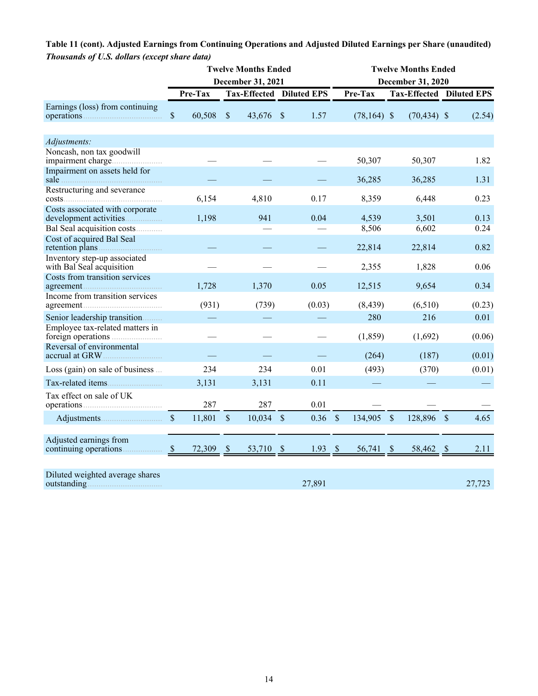# **Table 11 (cont). Adjusted Earnings from Continuing Operations and Adjusted Diluted Earnings per Share (unaudited)** *Thousands of U.S. dollars (except share data)*

|                                                           | <b>Twelve Months Ended</b><br>December 31, 2021 |        |                                 |        |               |           | <b>Twelve Months Ended</b><br><b>December 31, 2020</b> |                |               |                          |  |        |  |
|-----------------------------------------------------------|-------------------------------------------------|--------|---------------------------------|--------|---------------|-----------|--------------------------------------------------------|----------------|---------------|--------------------------|--|--------|--|
|                                                           | Pre-Tax                                         |        | <b>Tax-Effected Diluted EPS</b> |        |               |           |                                                        | Pre-Tax        |               | Tax-Effected Diluted EPS |  |        |  |
| Earnings (loss) from continuing                           | \$                                              | 60,508 | $\mathcal{S}$                   | 43,676 | $\mathcal{S}$ | 1.57      |                                                        | $(78, 164)$ \$ |               | $(70, 434)$ \$           |  | (2.54) |  |
| Adjustments:                                              |                                                 |        |                                 |        |               |           |                                                        |                |               |                          |  |        |  |
| Noncash, non tax goodwill                                 |                                                 |        |                                 |        |               |           |                                                        | 50,307         |               | 50,307                   |  | 1.82   |  |
| Impairment on assets held for<br>sale                     |                                                 |        |                                 |        |               |           |                                                        | 36,285         |               | 36,285                   |  | 1.31   |  |
| Restructuring and severance                               |                                                 | 6,154  |                                 | 4,810  |               | 0.17      |                                                        | 8,359          |               | 6,448                    |  | 0.23   |  |
| Costs associated with corporate<br>development activities |                                                 | 1,198  |                                 | 941    |               | 0.04      |                                                        | 4,539          |               | 3,501                    |  | 0.13   |  |
| Bal Seal acquisition costs                                |                                                 |        |                                 |        |               |           |                                                        | 8,506          |               | 6,602                    |  | 0.24   |  |
| Cost of acquired Bal Seal                                 |                                                 |        |                                 |        |               |           |                                                        | 22,814         |               | 22,814                   |  | 0.82   |  |
| Inventory step-up associated<br>with Bal Seal acquisition |                                                 |        |                                 |        |               |           |                                                        | 2,355          |               | 1,828                    |  | 0.06   |  |
| Costs from transition services<br>agreement               |                                                 | 1,728  |                                 | 1,370  |               | 0.05      |                                                        | 12,515         |               | 9,654                    |  | 0.34   |  |
| Income from transition services                           |                                                 | (931)  |                                 | (739)  |               | (0.03)    |                                                        | (8, 439)       |               | (6,510)                  |  | (0.23) |  |
| Senior leadership transition                              |                                                 |        |                                 |        |               |           |                                                        | 280            |               | 216                      |  | 0.01   |  |
| Employee tax-related matters in                           |                                                 |        |                                 |        |               |           |                                                        | (1, 859)       |               | (1,692)                  |  | (0.06) |  |
| Reversal of environmental                                 |                                                 |        |                                 |        |               |           |                                                        | (264)          |               | (187)                    |  | (0.01) |  |
| Loss (gain) on sale of business                           |                                                 | 234    |                                 | 234    |               | 0.01      |                                                        | (493)          |               | (370)                    |  | (0.01) |  |
| Tax-related items.                                        |                                                 | 3,131  |                                 | 3,131  |               | 0.11      |                                                        |                |               |                          |  |        |  |
| Tax effect on sale of UK                                  |                                                 | 287    |                                 | 287    |               | 0.01      |                                                        |                |               |                          |  |        |  |
|                                                           | $\mathbb{S}$                                    | 11,801 | $\mathcal{S}$                   | 10,034 | $\sqrt{S}$    | 0.36      | $\mathcal{S}$                                          | 134,905        | $\mathcal{S}$ | 128,896 \$               |  | 4.65   |  |
| Adjusted earnings from                                    | $\mathcal{S}$                                   | 72,309 | $\mathcal{S}$                   | 53,710 | $\mathcal{S}$ | $1.93$ \$ |                                                        | 56,741 \$      |               | 58,462 \$                |  | 2.11   |  |
| Diluted weighted average shares<br>outstanding            |                                                 |        |                                 |        |               | 27,891    |                                                        |                |               |                          |  | 27,723 |  |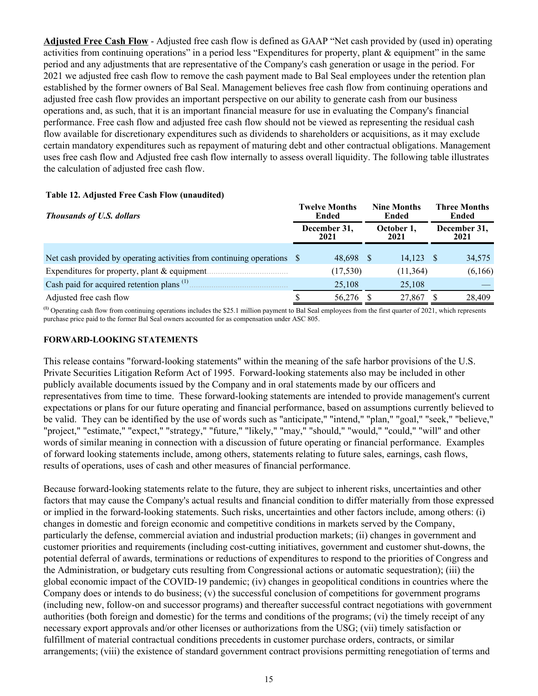**Adjusted Free Cash Flow** - Adjusted free cash flow is defined as GAAP "Net cash provided by (used in) operating activities from continuing operations" in a period less "Expenditures for property, plant & equipment" in the same period and any adjustments that are representative of the Company's cash generation or usage in the period. For 2021 we adjusted free cash flow to remove the cash payment made to Bal Seal employees under the retention plan established by the former owners of Bal Seal. Management believes free cash flow from continuing operations and adjusted free cash flow provides an important perspective on our ability to generate cash from our business operations and, as such, that it is an important financial measure for use in evaluating the Company's financial performance. Free cash flow and adjusted free cash flow should not be viewed as representing the residual cash flow available for discretionary expenditures such as dividends to shareholders or acquisitions, as it may exclude certain mandatory expenditures such as repayment of maturing debt and other contractual obligations. Management uses free cash flow and Adjusted free cash flow internally to assess overall liquidity. The following table illustrates the calculation of adjusted free cash flow.

| <b>Thousands of U.S. dollars</b>                                        | <b>Twelve Months</b><br>Ended | <b>Nine Months</b><br>Ended | <b>Three Months</b><br>Ended |  |  |
|-------------------------------------------------------------------------|-------------------------------|-----------------------------|------------------------------|--|--|
|                                                                         | December 31,<br>2021          | October 1,<br>2021          | December 31,<br>2021         |  |  |
| Net cash provided by operating activities from continuing operations \$ | 48,698 \$                     | 14.123                      | 34,575                       |  |  |
| Expenditures for property, plant $&$ equipment.                         | (17, 530)                     | (11, 364)                   | (6,166)                      |  |  |
| Cash paid for acquired retention plans <sup>(1)</sup>                   | 25,108                        | 25,108                      |                              |  |  |
| Adjusted free cash flow                                                 | 56,276                        | 27,867                      | 28,409                       |  |  |

#### **Table 12. Adjusted Free Cash Flow (unaudited)**

**(1)** Operating cash flow from continuing operations includes the \$25.1 million payment to Bal Seal employees from the first quarter of 2021, which represents purchase price paid to the former Bal Seal owners accounted for as compensation under ASC 805.

#### **FORWARD-LOOKING STATEMENTS**

This release contains "forward-looking statements" within the meaning of the safe harbor provisions of the U.S. Private Securities Litigation Reform Act of 1995. Forward-looking statements also may be included in other publicly available documents issued by the Company and in oral statements made by our officers and representatives from time to time. These forward-looking statements are intended to provide management's current expectations or plans for our future operating and financial performance, based on assumptions currently believed to be valid. They can be identified by the use of words such as "anticipate," "intend," "plan," "goal," "seek," "believe," "project," "estimate," "expect," "strategy," "future," "likely," "may," "should," "would," "could," "will" and other words of similar meaning in connection with a discussion of future operating or financial performance. Examples of forward looking statements include, among others, statements relating to future sales, earnings, cash flows, results of operations, uses of cash and other measures of financial performance.

Because forward-looking statements relate to the future, they are subject to inherent risks, uncertainties and other factors that may cause the Company's actual results and financial condition to differ materially from those expressed or implied in the forward-looking statements. Such risks, uncertainties and other factors include, among others: (i) changes in domestic and foreign economic and competitive conditions in markets served by the Company, particularly the defense, commercial aviation and industrial production markets; (ii) changes in government and customer priorities and requirements (including cost-cutting initiatives, government and customer shut-downs, the potential deferral of awards, terminations or reductions of expenditures to respond to the priorities of Congress and the Administration, or budgetary cuts resulting from Congressional actions or automatic sequestration); (iii) the global economic impact of the COVID-19 pandemic; (iv) changes in geopolitical conditions in countries where the Company does or intends to do business; (v) the successful conclusion of competitions for government programs (including new, follow-on and successor programs) and thereafter successful contract negotiations with government authorities (both foreign and domestic) for the terms and conditions of the programs; (vi) the timely receipt of any necessary export approvals and/or other licenses or authorizations from the USG; (vii) timely satisfaction or fulfillment of material contractual conditions precedents in customer purchase orders, contracts, or similar arrangements; (viii) the existence of standard government contract provisions permitting renegotiation of terms and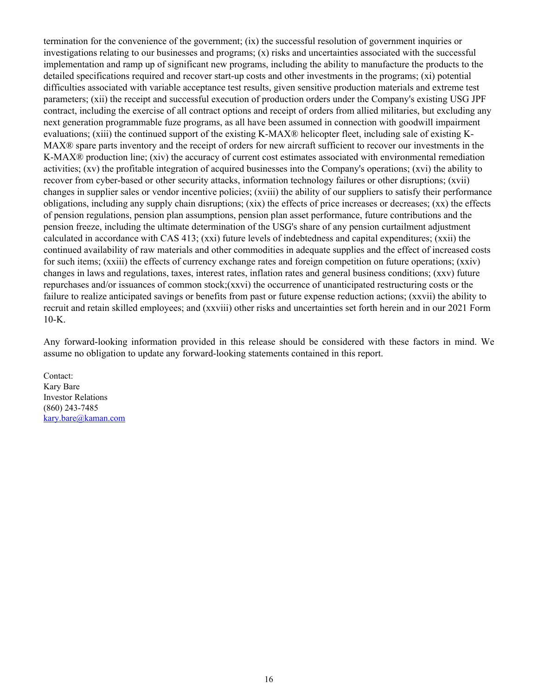termination for the convenience of the government; (ix) the successful resolution of government inquiries or investigations relating to our businesses and programs;  $(x)$  risks and uncertainties associated with the successful implementation and ramp up of significant new programs, including the ability to manufacture the products to the detailed specifications required and recover start-up costs and other investments in the programs; (xi) potential difficulties associated with variable acceptance test results, given sensitive production materials and extreme test parameters; (xii) the receipt and successful execution of production orders under the Company's existing USG JPF contract, including the exercise of all contract options and receipt of orders from allied militaries, but excluding any next generation programmable fuze programs, as all have been assumed in connection with goodwill impairment evaluations; (xiii) the continued support of the existing K-MAX® helicopter fleet, including sale of existing K-MAX® spare parts inventory and the receipt of orders for new aircraft sufficient to recover our investments in the K-MAX<sup>®</sup> production line; (xiv) the accuracy of current cost estimates associated with environmental remediation activities; (xv) the profitable integration of acquired businesses into the Company's operations; (xvi) the ability to recover from cyber-based or other security attacks, information technology failures or other disruptions; (xvii) changes in supplier sales or vendor incentive policies; (xviii) the ability of our suppliers to satisfy their performance obligations, including any supply chain disruptions; (xix) the effects of price increases or decreases; (xx) the effects of pension regulations, pension plan assumptions, pension plan asset performance, future contributions and the pension freeze, including the ultimate determination of the USG's share of any pension curtailment adjustment calculated in accordance with CAS 413; (xxi) future levels of indebtedness and capital expenditures; (xxii) the continued availability of raw materials and other commodities in adequate supplies and the effect of increased costs for such items; (xxiii) the effects of currency exchange rates and foreign competition on future operations; (xxiv) changes in laws and regulations, taxes, interest rates, inflation rates and general business conditions; (xxv) future repurchases and/or issuances of common stock;(xxvi) the occurrence of unanticipated restructuring costs or the failure to realize anticipated savings or benefits from past or future expense reduction actions; (xxvii) the ability to recruit and retain skilled employees; and (xxviii) other risks and uncertainties set forth herein and in our 2021 Form 10-K.

Any forward-looking information provided in this release should be considered with these factors in mind. We assume no obligation to update any forward-looking statements contained in this report.

Contact: Kary Bare Investor Relations (860) 243-7485 kary.bare@kaman.com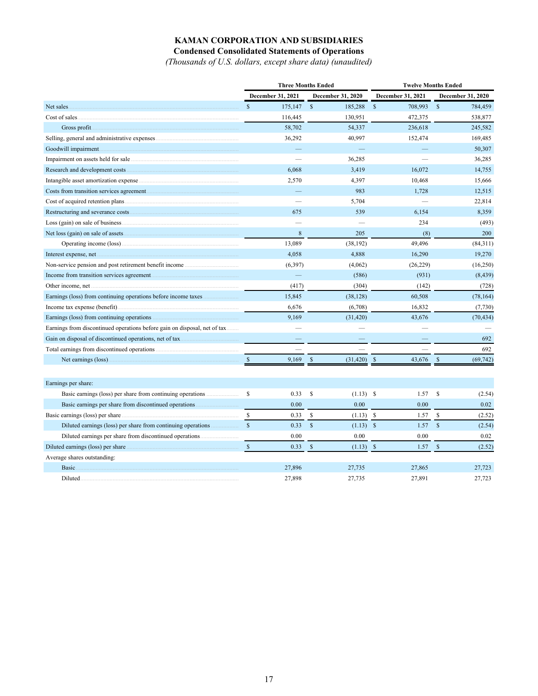# **KAMAN CORPORATION AND SUBSIDIARIES**

**Condensed Consolidated Statements of Operations**

*(Thousands of U.S. dollars, except share data) (unaudited)*

|                                                                           |                          | <b>Three Months Ended</b>    | <b>Twelve Months Ended</b> |                            |  |  |
|---------------------------------------------------------------------------|--------------------------|------------------------------|----------------------------|----------------------------|--|--|
|                                                                           | <b>December 31, 2021</b> | <b>December 31, 2020</b>     | <b>December 31, 2021</b>   | <b>December 31, 2020</b>   |  |  |
| Net sales.                                                                | $\mathbb{S}$<br>175,147  | $\mathbb{S}$<br>185,288      | $\mathbb{S}$<br>708,993    | $\mathbb{S}$<br>784,459    |  |  |
|                                                                           | 116,445                  | 130,951                      | 472,375                    | 538,877                    |  |  |
| Gross profit.                                                             | 58,702                   | 54,337                       | 236,618                    | 245,582                    |  |  |
| Selling, general and administrative expenses                              | 36,292                   | 40,997                       | 152,474                    | 169,485                    |  |  |
| Goodwill impairment.                                                      |                          |                              |                            | 50,307                     |  |  |
|                                                                           |                          | 36,285                       |                            | 36,285                     |  |  |
|                                                                           | 6,068                    | 3,419                        | 16,072                     | 14,755                     |  |  |
|                                                                           | 2,570                    | 4,397                        | 10,468                     | 15,666                     |  |  |
|                                                                           |                          | 983                          | 1,728                      | 12,515                     |  |  |
|                                                                           |                          | 5,704                        |                            | 22,814                     |  |  |
|                                                                           | 675                      | 539                          | 6,154                      | 8,359                      |  |  |
|                                                                           |                          |                              | 234                        | (493)                      |  |  |
|                                                                           | 8                        | 205                          | (8)                        | 200                        |  |  |
|                                                                           | 13,089                   | (38, 192)                    | 49,496                     | (84,311)                   |  |  |
| Interest expense, net                                                     | 4,058                    | 4,888                        | 16,290                     | 19,270                     |  |  |
| Non-service pension and post retirement benefit income                    | (6, 397)                 | (4,062)                      | (26, 229)                  | (16,250)                   |  |  |
| Income from transition services agreement.                                | $\equiv$                 | (586)                        | (931)                      | (8, 439)                   |  |  |
|                                                                           | (417)                    | (304)                        | (142)                      | (728)                      |  |  |
| Earnings (loss) from continuing operations before income taxes            | 15,845                   | (38, 128)                    | 60,508                     | (78, 164)                  |  |  |
| Income tax expense (benefit)                                              | 6,676                    | (6,708)                      | 16,832                     | (7,730)                    |  |  |
| Earnings (loss) from continuing operations                                | 9,169                    | (31, 420)                    | 43,676                     | (70, 434)                  |  |  |
| Earnings from discontinued operations before gain on disposal, net of tax |                          |                              |                            |                            |  |  |
| Gain on disposal of discontinued operations, net of tax                   |                          |                              |                            | 692                        |  |  |
|                                                                           |                          |                              |                            | 692                        |  |  |
|                                                                           | 9,169<br>$\mathcal{S}$   | $\mathbf S$<br>(31, 420)     | -S<br>43,676               | (69, 742)<br><sup>\$</sup> |  |  |
|                                                                           |                          |                              |                            |                            |  |  |
| Earnings per share:                                                       |                          |                              |                            |                            |  |  |
|                                                                           | \$<br>0.33               | \$<br>$(1.13)$ \$            | 1.57                       | \$<br>(2.54)               |  |  |
| Basic earnings per share from discontinued operations                     | 0.00                     | 0.00                         | 0.00                       | 0.02                       |  |  |
|                                                                           | \$<br>0.33               | <sup>\$</sup><br>$(1.13)$ \$ | 1.57                       | \$<br>(2.52)               |  |  |
|                                                                           | $\mathbf S$<br>0.33      | $\mathbf S$<br>$(1.13)$ \$   | 1.57                       | $\mathcal{S}$<br>(2.54)    |  |  |
|                                                                           | 0.00                     | 0.00                         | 0.00                       | 0.02                       |  |  |
|                                                                           | $\mathbb{S}$<br>0.33     | $\mathbb{S}$<br>$(1.13)$ \$  | 1.57                       | $\mathbb{S}$<br>(2.52)     |  |  |
| Average shares outstanding:                                               |                          |                              |                            |                            |  |  |
| Basic.                                                                    | 27,896                   | 27,735                       | 27,865                     | 27,723                     |  |  |
|                                                                           | 27,898                   | 27,735                       | 27,891                     | 27,723                     |  |  |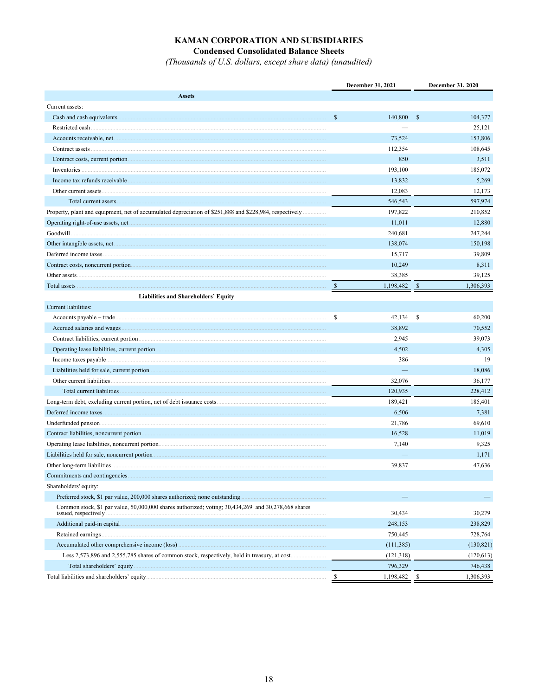# KAMAN CORPORATION AND SUBSIDIARIES

**Condensed Consolidated Balance Sheets** 

(Thousands of U.S. dollars, except share data) (unaudited)

|                                                                                                                               | December 31, 2021 |            |     | December 31, 2020 |  |  |
|-------------------------------------------------------------------------------------------------------------------------------|-------------------|------------|-----|-------------------|--|--|
| <b>Assets</b>                                                                                                                 |                   |            |     |                   |  |  |
| Current assets:                                                                                                               |                   |            |     |                   |  |  |
|                                                                                                                               | $\mathbb{S}$      | 140,800    | \$  | 104,377           |  |  |
|                                                                                                                               |                   |            |     | 25,121            |  |  |
|                                                                                                                               |                   | 73,524     |     | 153,806           |  |  |
|                                                                                                                               |                   | 112,354    |     | 108,645           |  |  |
| Contract costs, current portion <i>maturematic contract</i> costs, current portion <i>maturematic costs</i> , current portion |                   | 850        |     | 3,511             |  |  |
|                                                                                                                               |                   | 193,100    |     | 185,072           |  |  |
|                                                                                                                               |                   | 13.832     |     | 5,269             |  |  |
|                                                                                                                               |                   | 12,083     |     | 12,173            |  |  |
|                                                                                                                               |                   | 546,543    |     | 597,974           |  |  |
| Property, plant and equipment, net of accumulated depreciation of \$251,888 and \$228,984, respectively                       |                   | 197,822    |     | 210,852           |  |  |
| Operating right-of-use assets, net                                                                                            |                   | 11,011     |     | 12,880            |  |  |
|                                                                                                                               |                   | 240,681    |     | 247,244           |  |  |
|                                                                                                                               |                   | 138,074    |     | 150,198           |  |  |
|                                                                                                                               |                   | 15,717     |     | 39,809            |  |  |
|                                                                                                                               |                   | 10,249     |     | 8,311             |  |  |
|                                                                                                                               |                   | 38,385     |     | 39,125            |  |  |
| Total assets                                                                                                                  | -S                | 1,198,482  | -\$ | 1,306,393         |  |  |
| <b>Liabilities and Shareholders' Equity</b>                                                                                   |                   |            |     |                   |  |  |
| Current liabilities:                                                                                                          |                   |            |     |                   |  |  |
|                                                                                                                               | \$                | 42,134     | \$  | 60,200            |  |  |
|                                                                                                                               |                   | 38,892     |     | 70,552            |  |  |
|                                                                                                                               |                   | 2,945      |     | 39,073            |  |  |
|                                                                                                                               |                   | 4,502      |     | 4,305             |  |  |
|                                                                                                                               |                   | 386        |     | 19                |  |  |
|                                                                                                                               |                   |            |     | 18,086            |  |  |
|                                                                                                                               |                   | 32,076     |     | 36,177            |  |  |
|                                                                                                                               |                   | 120,935    |     | 228,412           |  |  |
|                                                                                                                               |                   | 189,421    |     | 185,401           |  |  |
|                                                                                                                               |                   | 6,506      |     | 7,381             |  |  |
|                                                                                                                               |                   | 21,786     |     | 69,610            |  |  |
|                                                                                                                               |                   | 16,528     |     | 11,019            |  |  |
|                                                                                                                               |                   | 7,140      |     | 9,325             |  |  |
| Liabilities held for sale, noncurrent portion <i>manufacture in the content of the content of the content of the content</i>  |                   |            |     | 1,171             |  |  |
|                                                                                                                               |                   | 39,837     |     | 47,636            |  |  |
| Commitments and contingencies.                                                                                                |                   |            |     |                   |  |  |
| Shareholders' equity:                                                                                                         |                   |            |     |                   |  |  |
| Preferred stock, \$1 par value, 200,000 shares authorized; none outstanding                                                   |                   |            |     |                   |  |  |
| Common stock, \$1 par value, 50,000,000 shares authorized; voting; 30,434,269 and 30,278,668 shares<br>issued, respectively   |                   | 30,434     |     | 30,279            |  |  |
|                                                                                                                               |                   | 248,153    |     | 238,829           |  |  |
| Retained earnings                                                                                                             |                   | 750,445    |     | 728,764           |  |  |
| Accumulated other comprehensive income (loss)                                                                                 |                   | (111, 385) |     | (130, 821)        |  |  |
|                                                                                                                               |                   | (121, 318) |     | (120, 613)        |  |  |
| Total shareholders' equity                                                                                                    |                   | 796,329    |     | 746,438           |  |  |
|                                                                                                                               | <sup>\$</sup>     | 1,198,482  | \$  | 1,306,393         |  |  |